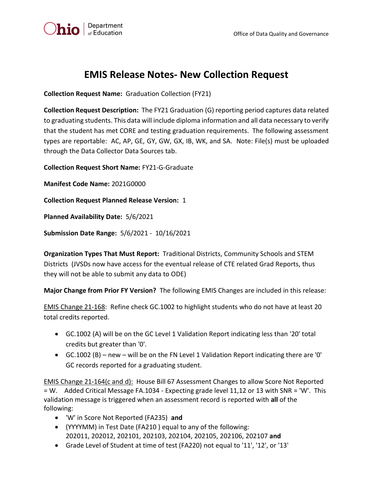

## **EMIS Release Notes- New Collection Request**

**Collection Request Name:** Graduation Collection (FY21)

**Collection Request Description:** The FY21 Graduation (G) reporting period captures data related to graduating students. This data will include diploma information and all data necessary to verify that the student has met CORE and testing graduation requirements. The following assessment types are reportable: AC, AP, GE, GY, GW, GX, IB, WK, and SA. Note: File(s) must be uploaded through the Data Collector Data Sources tab.

**Collection Request Short Name:** FY21-G-Graduate

**Manifest Code Name:** 2021G0000

**Collection Request Planned Release Version:** 1

**Planned Availability Date:** 5/6/2021

**Submission Date Range:** 5/6/2021 - 10/16/2021

**Organization Types That Must Report:** Traditional Districts, Community Schools and STEM Districts (JVSDs now have access for the eventual release of CTE related Grad Reports, thus they will not be able to submit any data to ODE)

**Major Change from Prior FY Version?** The following EMIS Changes are included in this release:

EMIS Change 21-168: Refine check GC.1002 to highlight students who do not have at least 20 total credits reported.

- GC.1002 (A) will be on the GC Level 1 Validation Report indicating less than '20' total credits but greater than '0'.
- GC.1002 (B) new will be on the FN Level 1 Validation Report indicating there are '0' GC records reported for a graduating student.

EMIS Change 21-164(c and d): House Bill 67 Assessment Changes to allow Score Not Reported = W. Added Critical Message FA.1034 - Expecting grade level 11,12 or 13 with SNR = 'W'. This validation message is triggered when an assessment record is reported with **all** of the following:

- 'W' in Score Not Reported (FA235) **and**
- (YYYYMM) in Test Date (FA210 ) equal to any of the following: 202011, 202012, 202101, 202103, 202104, 202105, 202106, 202107 **and**
- Grade Level of Student at time of test (FA220) not equal to '11', '12', or '13'